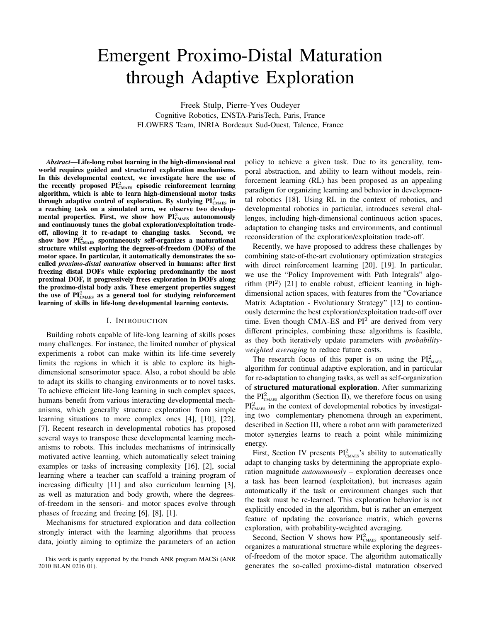# Emergent Proximo-Distal Maturation through Adaptive Exploration

Freek Stulp, Pierre-Yves Oudeyer Cognitive Robotics, ENSTA-ParisTech, Paris, France FLOWERS Team, INRIA Bordeaux Sud-Ouest, Talence, France

*Abstract*—Life-long robot learning in the high-dimensional real world requires guided and structured exploration mechanisms. In this developmental context, we investigate here the use of the recently proposed  $PI_{\text{CMAES}}^2$  episodic reinforcement learning algorithm, which is able to learn high-dimensional motor tasks through adaptive control of exploration. By studying  $PI_{\text{CMAES}}^2$  in a reaching task on a simulated arm, we observe two developmental properties. First, we show how  $PI_{\text{CMAES}}^2$  autonomously and continuously tunes the global exploration/exploitation tradeoff, allowing it to re-adapt to changing tasks. Second, we show how  $\tilde{PI}_{\text{CMAES}}^2$  spontaneously self-organizes a maturational structure whilst exploring the degrees-of-freedom (DOFs) of the motor space. In particular, it automatically demonstrates the socalled *proximo-distal maturation* observed in humans: after first freezing distal DOFs while exploring predominantly the most proximal DOF, it progressively frees exploration in DOFs along the proximo-distal body axis. These emergent properties suggest the use of  $PI_{\text{CMAES}}^2$  as a general tool for studying reinforcement learning of skills in life-long developmental learning contexts.

#### I. INTRODUCTION

Building robots capable of life-long learning of skills poses many challenges. For instance, the limited number of physical experiments a robot can make within its life-time severely limits the regions in which it is able to explore its highdimensional sensorimotor space. Also, a robot should be able to adapt its skills to changing environments or to novel tasks. To achieve efficient life-long learning in such complex spaces, humans benefit from various interacting developmental mechanisms, which generally structure exploration from simple learning situations to more complex ones [4], [10], [22], [7]. Recent research in developmental robotics has proposed several ways to transpose these developmental learning mechanisms to robots. This includes mechanisms of intrinsically motivated active learning, which automatically select training examples or tasks of increasing complexity [16], [2], social learning where a teacher can scaffold a training program of increasing difficulty [11] and also curriculum learning [3], as well as maturation and body growth, where the degreesof-freedom in the sensori- and motor spaces evolve through phases of freezing and freeing [6], [8], [1].

Mechanisms for structured exploration and data collection strongly interact with the learning algorithms that process data, jointly aiming to optimize the parameters of an action policy to achieve a given task. Due to its generality, temporal abstraction, and ability to learn without models, reinforcement learning (RL) has been proposed as an appealing paradigm for organizing learning and behavior in developmental robotics [18]. Using RL in the context of robotics, and developmental robotics in particular, introduces several challenges, including high-dimensional continuous action spaces, adaptation to changing tasks and environments, and continual reconsideration of the exploration/exploitation trade-off.

Recently, we have proposed to address these challenges by combining state-of-the-art evolutionary optimization strategies with direct reinforcement learning [20], [19]. In particular, we use the "Policy Improvement with Path Integrals" algorithm  $(PI^2)$  [21] to enable robust, efficient learning in highdimensional action spaces, with features from the "Covariance Matrix Adaptation - Evolutionary Strategy" [12] to continuously determine the best exploration/exploitation trade-off over time. Even though CMA-ES and  $PI<sup>2</sup>$  are derived from very different principles, combining these algorithms is feasible, as they both iteratively update parameters with *probabilityweighted averaging* to reduce future costs.

The research focus of this paper is on using the  $PI_{\text{CMAES}}^2$ algorithm for continual adaptive exploration, and in particular for re-adaptation to changing tasks, as well as self-organization of structured maturational exploration. After summarizing the  $PI_{\text{CMAES}}^2$  algorithm (Section II), we therefore focus on using  $PI_{\text{CMAES}}^2$  in the context of developmental robotics by investigating two complementary phenomena through an experiment, described in Section III, where a robot arm with parameterized motor synergies learns to reach a point while minimizing energy.

First, Section IV presents  $PI_{\text{CMAES}}^2$ 's ability to automatically adapt to changing tasks by determining the appropriate exploration magnitude *autonomously* – exploration decreases once a task has been learned (exploitation), but increases again automatically if the task or environment changes such that the task must be re-learned. This exploration behavior is not explicitly encoded in the algorithm, but is rather an emergent feature of updating the covariance matrix, which governs exploration, with probability-weighted averaging.

Second, Section V shows how  $PI_{\text{CMAES}}^2$  spontaneously selforganizes a maturational structure while exploring the degreesof-freedom of the motor space. The algorithm automatically generates the so-called proximo-distal maturation observed

This work is partly supported by the French ANR program MACSi (ANR 2010 BLAN 0216 01).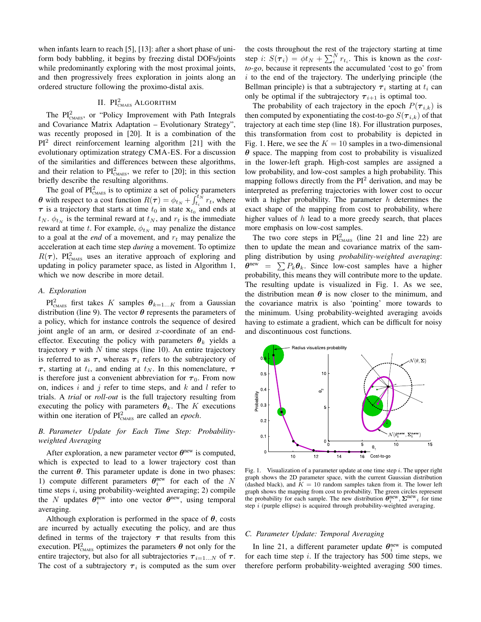when infants learn to reach [5], [13]: after a short phase of uniform body babbling, it begins by freezing distal DOFs/joints while predominantly exploring with the most proximal joints, and then progressively frees exploration in joints along an ordered structure following the proximo-distal axis.

# II. PI<sup>2</sup><sub>cmaes</sub> Algorithm

The  $PI_{\text{CMAES}}^2$ , or "Policy Improvement with Path Integrals and Covariance Matrix Adaptation – Evolutionary Strategy", was recently proposed in [20]. It is a combination of the  $PI<sup>2</sup>$  direct reinforcement learning algorithm [21] with the evolutionary optimization strategy CMA-ES. For a discussion of the similarities and differences between these algorithms, and their relation to  $PI_{\text{CMAES}}^2$ , we refer to [20]; in this section briefly describe the resulting algorithms.

The goal of  $PI_{\text{CMAES}}^2$  is to optimize a set of policy parameters  $\theta$  with respect to a cost function  $R(\tau) = \phi_{t_N} + \int_{t_i}^{t_N} r_t$ , where  $\tau$  is a trajectory that starts at time  $t_0$  in state  $\mathbf{x}_{t_0}$  and ends at  $t_N$ .  $\phi_{t_N}$  is the terminal reward at  $t_N$ , and  $r_t$  is the immediate reward at time t. For example,  $\phi_{t_N}$  may penalize the distance to a goal at the *end* of a movement, and  $r_t$  may penalize the acceleration at each time step *during* a movement. To optimize  $R(\tau)$ , PI<sup>2</sup><sub>CMAES</sub> uses an iterative approach of exploring and updating in policy parameter space, as listed in Algorithm 1, which we now describe in more detail.

# *A. Exploration*

 $\text{PI}^2_{\text{CMAES}}$  first takes K samples  $\theta_{k=1...K}$  from a Gaussian distribution (line 9). The vector  $\theta$  represents the parameters of a policy, which for instance controls the sequence of desired joint angle of an arm, or desired  $x$ -coordinate of an endeffector. Executing the policy with parameters  $\theta_k$  yields a trajectory  $\tau$  with N time steps (line 10). An entire trajectory is referred to as  $\tau$ , whereas  $\tau_i$  refers to the subtrajectory of  $\tau$ , starting at  $t_i$ , and ending at  $t_N$ . In this nomenclature,  $\tau$ is therefore just a convenient abbreviation for  $\tau_0$ . From now on, indices i and j refer to time steps, and  $k$  and  $l$  refer to trials. A *trial* or *roll-out* is the full trajectory resulting from executing the policy with parameters  $\theta_k$ . The K executions within one iteration of  $PI_{\text{CMAES}}^2$  are called an *epoch*.

# *B. Parameter Update for Each Time Step: Probabilityweighted Averaging*

After exploration, a new parameter vector  $\theta^{new}$  is computed, which is expected to lead to a lower trajectory cost than the current  $\theta$ . This parameter update is done in two phases: 1) compute different parameters  $\theta_i^{\text{new}}$  for each of the N time steps  $i$ , using probability-weighted averaging; 2) compile the N updates  $\theta_i^{\text{new}}$  into one vector  $\theta^{\text{new}}$ , using temporal averaging.

Although exploration is performed in the space of  $\theta$ , costs are incurred by actually executing the policy, and are thus defined in terms of the trajectory  $\tau$  that results from this execution. PI<sup>2</sup><sub>CMAES</sub> optimizes the parameters  $\theta$  not only for the entire trajectory, but also for all subtrajectories  $\tau_{i=1...N}$  of  $\tau$ . The cost of a subtrajectory  $\tau_i$  is computed as the sum over

the costs throughout the rest of the trajectory starting at time step *i*:  $S(\tau_i) = \phi t_N + \sum_i^N r_{t_i}$ . This is known as the *costto-go*, because it represents the accumulated 'cost to go' from  $i$  to the end of the trajectory. The underlying principle (the Bellman principle) is that a subtrajectory  $\tau_i$  starting at  $t_i$  can only be optimal if the subtrajectory  $\tau_{i+1}$  is optimal too.

The probability of each trajectory in the epoch  $P(\tau_{i,k})$  is then computed by exponentiating the cost-to-go  $S(\tau_{i,k})$  of that trajectory at each time step (line 18). For illustration purposes, this transformation from cost to probability is depicted in Fig. 1. Here, we see the  $K = 10$  samples in a two-dimensional  $\theta$  space. The mapping from cost to probability is visualized in the lower-left graph. High-cost samples are assigned a low probability, and low-cost samples a high probability. This mapping follows directly from the  $PI<sup>2</sup>$  derivation, and may be interpreted as preferring trajectories with lower cost to occur with a higher probability. The parameter  $h$  determines the exact shape of the mapping from cost to probability, where higher values of  $h$  lead to a more greedy search, that places more emphasis on low-cost samples.

The two core steps in  $PI_{\text{CMAES}}^2$  (line 21 and line 22) are then to update the mean and covariance matrix of the sampling distribution by using *probability-weighted averaging*:  $\theta^{\text{new}} = \sum P_k \theta_k$ . Since low-cost samples have a higher probability, this means they will contribute more to the update. The resulting update is visualized in Fig. 1. As we see, the distribution mean  $\theta$  is now closer to the minimum, and the covariance matrix is also 'pointing' more towards to the minimum. Using probability-weighted averaging avoids having to estimate a gradient, which can be difficult for noisy and discontinuous cost functions.



Fig. 1. Visualization of a parameter update at one time step  $i$ . The upper right graph shows the 2D parameter space, with the current Gaussian distribution (dashed black), and  $K = 10$  random samples taken from it. The lower left graph shows the mapping from cost to probability. The green circles represent the probability for each sample. The new distribution  $\theta_i^{\text{new}}, \Sigma^{\text{new}}$  for time step  $i$  (purple ellipse) is acquired through probability-weighted averaging.

#### *C. Parameter Update: Temporal Averaging*

In line 21, a different parameter update  $\theta_i^{\text{new}}$  is computed for each time step  $i$ . If the trajectory has 500 time steps, we therefore perform probability-weighted averaging 500 times.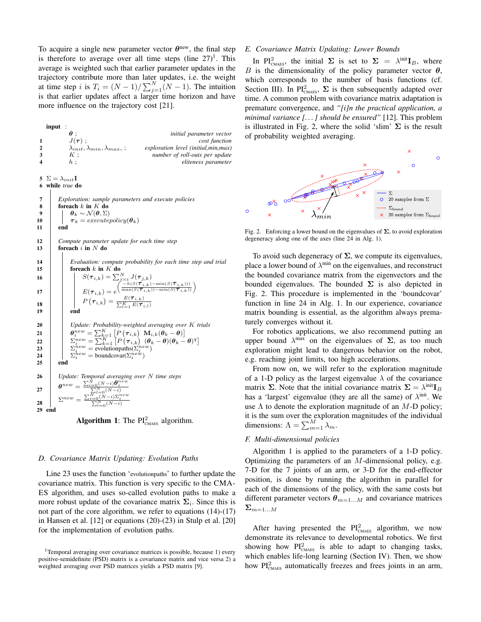To acquire a single new parameter vector  $\theta^{new}$ , the final step is therefore to average over all time steps (line  $27$ )<sup>1</sup>. This average is weighted such that earlier parameter updates in the trajectory contribute more than later updates, i.e. the weight at time step i is  $T_i = (N-1)/\sum_{j=1}^{N} (N-1)$ . The intuition is that earlier updates affect a larger time horizon and have more influence on the trajectory cost [21].

input :  $\theta$ ;<br> $J(\tau)$ ;<br> $^{i}$  *initial parameter vector*  $J(\tau)$ ; *cost function* 2  $\lambda_{init}, \lambda_{min}, \lambda_{max}$ ; *exploration level (initial,min,max)*<br>3  $K$ : *number of roll-outs per update* number of roll-outs per update 4 h ; *eliteness parameter*

5  $\Sigma = \lambda_{init}$ **I** 6 while *true* do



**Algorithm 1:** The  $PI_{\text{CMAES}}^2$  algorithm.

### *D. Covariance Matrix Updating: Evolution Paths*

Line 23 uses the function 'evolutionpaths' to further update the covariance matrix. This function is very specific to the CMA-ES algorithm, and uses so-called evolution paths to make a more robust update of the covariance matrix  $\Sigma_i$ . Since this is not part of the core algorithm, we refer to equations (14)-(17) in Hansen et al. [12] or equations (20)-(23) in Stulp et al. [20] for the implementation of evolution paths.

#### *E. Covariance Matrix Updating: Lower Bounds*

In PI<sub>CMAES</sub>, the initial  $\Sigma$  is set to  $\Sigma = \lambda^{\text{init}} I_B$ , where B is the dimensionality of the policy parameter vector  $\theta$ , which corresponds to the number of basis functions (cf. Section III). In PI<sup>2</sup><sub>CMAES</sub>,  $\Sigma$  is then subsequently adapted over time. A common problem with covariance matrix adaptation is premature convergence, and *"[i]n the practical application, a minimal variance [. . . ] should be ensured"* [12]. This problem is illustrated in Fig. 2, where the solid 'slim'  $\Sigma$  is the result of probability weighted averaging.



Fig. 2. Enforcing a lower bound on the eigenvalues of  $\Sigma$ , to avoid exploration degeneracy along one of the axes (line 24 in Alg. 1).

To avoid such degeneracy of  $\Sigma$ , we compute its eigenvalues, place a lower bound of  $\lambda^{\min}$  on the eigenvalues, and reconstruct the bounded covariance matrix from the eigenvectors and the bounded eigenvalues. The bounded  $\Sigma$  is also depicted in Fig. 2. This procedure is implemented in the 'boundcovar' function in line 24 in Alg. 1. In our experience, covariance matrix bounding is essential, as the algorithm always prematurely converges without it.

For robotics applications, we also recommend putting an upper bound  $\lambda^{\max}$  on the eigenvalues of  $\Sigma$ , as too much exploration might lead to dangerous behavior on the robot, e.g. reaching joint limits, too high accelerations.

From now on, we will refer to the exploration magnitude of a 1-D policy as the largest eigenvalue  $\lambda$  of the covariance matrix  $\Sigma$ . Note that the initial covariance matrix  $\Sigma = \lambda^{\text{init}} I_B$ has a 'largest' eigenvalue (they are all the same) of  $\lambda^{\text{init}}$ . We use  $\Lambda$  to denote the exploration magnitude of an  $M$ -D policy; it is the sum over the exploration magnitudes of the individual dimensions:  $\Lambda = \sum_{m=1}^{M} \lambda_m$ .

# *F. Multi-dimensional policies*

Algorithm 1 is applied to the parameters of a 1-D policy. Optimizing the parameters of an  $M$ -dimensional policy, e.g. 7-D for the 7 joints of an arm, or 3-D for the end-effector position, is done by running the algorithm in parallel for each of the dimensions of the policy, with the same costs but different parameter vectors  $\theta_{m=1...M}$  and covariance matrices  $\Sigma_{m=1...M}$ 

After having presented the  $PI_{\text{CMAES}}^2$  algorithm, we now demonstrate its relevance to developmental robotics. We first showing how  $PI_{\text{CMAES}}^2$  is able to adapt to changing tasks, which enables life-long learning (Section IV). Then, we show how  $PI_{\text{CMAES}}^2$  automatically freezes and frees joints in an arm,

<sup>&</sup>lt;sup>1</sup>Temporal averaging over covariance matrices is possible, because 1) every positive-semidefinite (PSD) matrix is a covariance matrix and vice versa 2) a weighted averaging over PSD matrices yields a PSD matrix [9].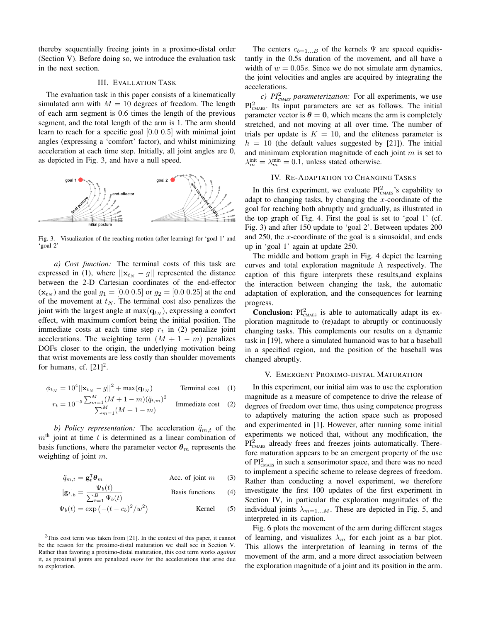thereby sequentially freeing joints in a proximo-distal order (Section V). Before doing so, we introduce the evaluation task in the next section.

## III. EVALUATION TASK

The evaluation task in this paper consists of a kinematically simulated arm with  $M = 10$  degrees of freedom. The length of each arm segment is 0.6 times the length of the previous segment, and the total length of the arm is 1. The arm should learn to reach for a specific goal [0.0 0.5] with minimal joint angles (expressing a 'comfort' factor), and whilst minimizing acceleration at each time step. Initially, all joint angles are 0, as depicted in Fig. 3, and have a null speed.



Fig. 3. Visualization of the reaching motion (after learning) for 'goal 1' and 'goal 2'

*a) Cost function:* The terminal costs of this task are expressed in (1), where  $||\mathbf{x}_{t_N} - g||$  represented the distance between the 2-D Cartesian coordinates of the end-effector  $(\mathbf{x}_{t_N})$  and the goal  $g_1 = [0.0 \ 0.5]$  or  $g_2 = [0.0 \ 0.25]$  at the end of the movement at  $t_N$ . The terminal cost also penalizes the joint with the largest angle at  $max(\mathbf{q}_{t_N})$ , expressing a comfort effect, with maximum comfort being the initial position. The immediate costs at each time step  $r_t$  in (2) penalize joint accelerations. The weighting term  $(M + 1 - m)$  penalizes DOFs closer to the origin, the underlying motivation being that wrist movements are less costly than shoulder movements for humans, cf.  $[21]^2$ .

$$
\phi_{t_N} = 10^4 ||\mathbf{x}_{t_N} - g||^2 + \max(\mathbf{q}_{t_N})
$$
 Terminal cost (1)  

$$
10^{-5} \sum_{m=1}^{M} (M + 1 - m)(\ddot{q}_{t,m})^2
$$

$$
r_{t} = 10^{-5} \frac{\sum_{m=1}^{M} (M + 1 - m)(\ddot{q}_{t,m})^{2}}{\sum_{m=1}^{M} (M + 1 - m)}
$$
 Immediate cost (2)

*b) Policy representation:* The acceleration  $\ddot{q}_{m,t}$  of the  $m<sup>th</sup>$  joint at time t is determined as a linear combination of basis functions, where the parameter vector  $\theta_m$  represents the weighting of joint m.

$$
\ddot{q}_{m,t} = \mathbf{g}_t^\mathsf{T} \boldsymbol{\theta}_m \qquad \qquad \text{Acc. of joint } m \qquad (3)
$$

$$
\left[\mathbf{g}_t\right]_b = \frac{\Psi_b(t)}{\sum_{b=1}^B \Psi_b(t)} \qquad \qquad \text{Basis functions} \qquad (4)
$$

$$
\Psi_b(t) = \exp\left(-(t - c_b)^2 / w^2\right)
$$
 Kernel (5)

 $2$ This cost term was taken from [21]. In the context of this paper, it cannot be the reason for the proximo-distal maturation we shall see in Section V. Rather than favoring a proximo-distal maturation, this cost term works *against* it, as proximal joints are penalized *more* for the accelerations that arise due to exploration.

The centers  $c_{b=1...B}$  of the kernels  $\Psi$  are spaced equidistantly in the 0.5s duration of the movement, and all have a width of  $w = 0.05s$ . Since we do not simulate arm dynamics, the joint velocities and angles are acquired by integrating the accelerations.

 $c)$  *PI*<sup>2</sup><sub>*CMAES</sub> parameterization:* For all experiments, we use</sub>  $PI_{\text{CMAES}}^2$ . Its input parameters are set as follows. The initial parameter vector is  $\theta = 0$ , which means the arm is completely stretched, and not moving at all over time. The number of trials per update is  $K = 10$ , and the eliteness parameter is  $h = 10$  (the default values suggested by [21]). The initial and minimum exploration magnitude of each joint  $m$  is set to  $\lambda_m^{\text{init}} = \lambda_m^{\text{min}} = 0.1$ , unless stated otherwise.

# IV. RE-ADAPTATION TO CHANGING TASKS

In this first experiment, we evaluate  $PI_{\text{CMAES}}^2$ 's capability to adapt to changing tasks, by changing the  $x$ -coordinate of the goal for reaching both abruptly and gradually, as illustrated in the top graph of Fig. 4. First the goal is set to 'goal 1' (cf. Fig. 3) and after 150 update to 'goal 2'. Between updates 200 and 250, the  $x$ -coordinate of the goal is a sinusoidal, and ends up in 'goal 1' again at update 250.

The middle and bottom graph in Fig. 4 depict the learning curves and total exploration magnitude  $\Lambda$  respectively. The caption of this figure interprets these results,and explains the interaction between changing the task, the automatic adaptation of exploration, and the consequences for learning progress.

**Conclusion:**  $PI_{\text{CMAES}}^2$  is able to automatically adapt its exploration magnitude to (re)adapt to abruptly or continuously changing tasks. This complements our results on a dynamic task in [19], where a simulated humanoid was to bat a baseball in a specified region, and the position of the baseball was changed abruptly.

#### V. EMERGENT PROXIMO-DISTAL MATURATION

In this experiment, our initial aim was to use the exploration magnitude as a measure of competence to drive the release of degrees of freedom over time, thus using competence progress to adaptively maturing the action space such as proposed and experimented in [1]. However, after running some initial experiments we noticed that, without any modification, the  $PI_{\text{CMAES}}^2$  already frees and freezes joints automatically. Therefore maturation appears to be an emergent property of the use of  $PI_{\text{CMAES}}^2$  in such a sensorimotor space, and there was no need to implement a specific scheme to release degrees of freedom. Rather than conducting a novel experiment, we therefore investigate the first 100 updates of the first experiment in Section IV, in particular the exploration magnitudes of the individual joints  $\lambda_{m=1...M}$ . These are depicted in Fig. 5, and interpreted in its caption.

Fig. 6 plots the movement of the arm during different stages of learning, and visualizes  $\lambda_m$  for each joint as a bar plot. This allows the interpretation of learning in terms of the movement of the arm, and a more direct association between the exploration magnitude of a joint and its position in the arm.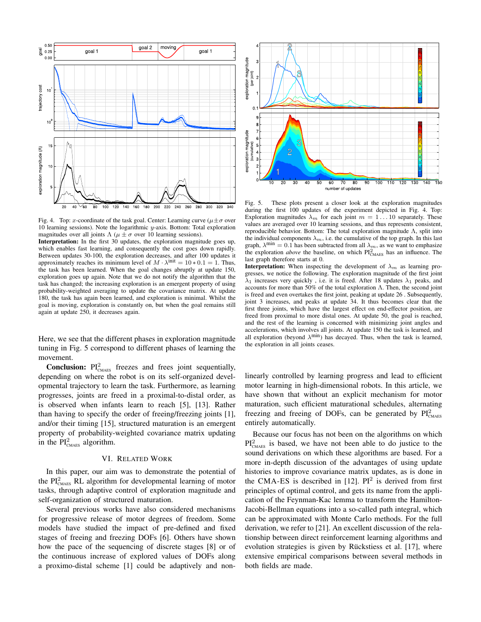

Fig. 4. Top: x-coordinate of the task goal. Center: Learning curve ( $\mu \pm \sigma$  over 10 learning sessions). Note the logarithmic y-axis. Bottom: Total exploration magnitudes over all joints  $\Lambda$  ( $\mu \pm \sigma$  over 10 learning sessions).

Interpretation: In the first 30 updates, the exploration magnitude goes up, which enables fast learning, and consequently the cost goes down rapidly. Between updates 30-100, the exploration decreases, and after 100 updates it approximately reaches its minimum level of  $M \cdot \lambda^{\text{init}} = 10 * 0.1 = 1$ . Thus, the task has been learned. When the goal changes abruptly at update 150, exploration goes up again. Note that we do not notify the algorithm that the task has changed; the increasing exploration is an emergent property of using probability-weighted averaging to update the covariance matrix. At update 180, the task has again been learned, and exploration is minimal. Whilst the goal is moving, exploration is constantly on, but when the goal remains still again at update 250, it decreases again.

Here, we see that the different phases in exploration magnitude tuning in Fig. 5 correspond to different phases of learning the movement.

**Conclusion:**  $PI_{\text{CMAES}}^2$  freezes and frees joint sequentially, depending on where the robot is on its self-organized developmental trajectory to learn the task. Furthermore, as learning progresses, joints are freed in a proximal-to-distal order, as is observed when infants learn to reach [5], [13]. Rather than having to specify the order of freeing/freezing joints [1], and/or their timing [15], structured maturation is an emergent property of probability-weighted covariance matrix updating in the  $PI_{\text{CMAES}}^2$  algorithm.

# VI. RELATED WORK

In this paper, our aim was to demonstrate the potential of the  $PI_{\text{CMAES}}^2$  RL algorithm for developmental learning of motor tasks, through adaptive control of exploration magnitude and self-organization of structured maturation.

Several previous works have also considered mechanisms for progressive release of motor degrees of freedom. Some models have studied the impact of pre-defined and fixed stages of freeing and freezing DOFs [6]. Others have shown how the pace of the sequencing of discrete stages [8] or of the continuous increase of explored values of DOFs along a proximo-distal scheme [1] could be adaptively and non-



Fig. 5. These plots present a closer look at the exploration magnitudes during the first 100 updates of the experiment depicted in Fig. 4. Top: Exploration magnitudes  $\lambda_m$  for each joint  $m = 1 \dots 10$  separately. These values are averaged over 10 learning sessions, and thus represents consistent, reproducible behavior. Bottom: The total exploration magnitude Λ, split into the individual components  $\lambda_m$ , i.e. the cumulative of the top graph. In this last graph,  $\lambda^{\min} = 0.1$  has been subtracted from all  $\lambda_m$ , as we want to emphasize the exploration *above* the baseline, on which  $PI_{\text{CMAES}}^2$  has an influence. The last graph therefore starts at 0.

**Interpretation:** When inspecting the development of  $\lambda_m$  as learning progresses, we notice the following. The exploration magnitude of the first joint  $\lambda_1$  increases very quickly, i.e. it is freed. After 18 updates  $\lambda_1$  peaks, and accounts for more than 50% of the total exploration Λ. Then, the second joint is freed and even overtakes the first joint, peaking at update 26 . Subsequently, joint 3 increases, and peaks at update 34. It thus becomes clear that the first three joints, which have the largest effect on end-effector position, are freed from proximal to more distal ones. At update 50, the goal is reached, and the rest of the learning is concerned with minimizing joint angles and accelerations, which involves all joints. At update 150 the task is learned, and all exploration (beyond  $\lambda^{\min}$ ) has decayed. Thus, when the task is learned, the exploration in all joints ceases.

linearly controlled by learning progress and lead to efficient motor learning in high-dimensional robots. In this article, we have shown that without an explicit mechanism for motor maturation, such efficient maturational schedules, alternating freezing and freeing of DOFs, can be generated by  $PI_{\text{CMAES}}^2$ entirely automatically.

Because our focus has not been on the algorithms on which  $PI_{\text{CMAES}}^2$  is based, we have not been able to do justice to the sound derivations on which these algorithms are based. For a more in-depth discussion of the advantages of using update histories to improve covariance matrix updates, as is done in the CMA-ES is described in  $[12]$ . PI<sup>2</sup> is derived from first principles of optimal control, and gets its name from the application of the Feynman-Kac lemma to transform the Hamilton-Jacobi-Bellman equations into a so-called path integral, which can be approximated with Monte Carlo methods. For the full derivation, we refer to [21]. An excellent discussion of the relationship between direct reinforcement learning algorithms and evolution strategies is given by Rückstiess et al. [17], where extensive empirical comparisons between several methods in both fields are made.